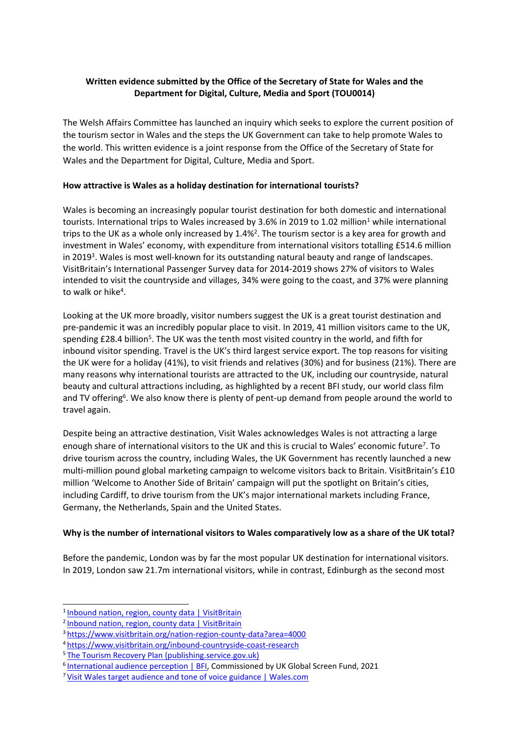### **Written evidence submitted by the Office of the Secretary of State for Wales and the Department for Digital, Culture, Media and Sport (TOU0014)**

The Welsh Affairs Committee has launched an inquiry which seeks to explore the current position of the tourism sector in Wales and the steps the UK Government can take to help promote Wales to the world. This written evidence is a joint response from the Office of the Secretary of State for Wales and the Department for Digital, Culture, Media and Sport.

#### **How attractive is Wales as a holiday destination for international tourists?**

Wales is becoming an increasingly popular tourist destination for both domestic and international tourists. International trips to Wales increased by 3.6% in 2019 to 1.02 million<sup>1</sup> while international trips to the UK as a whole only increased by 1.4%<sup>2</sup>. The tourism sector is a key area for growth and investment in Wales' economy, with expenditure from international visitors totalling £514.6 million in 2019<sup>3</sup>. Wales is most well-known for its outstanding natural beauty and range of landscapes. VisitBritain's International Passenger Survey data for 2014-2019 shows 27% of visitors to Wales intended to visit the countryside and villages, 34% were going to the coast, and 37% were planning to walk or hike<sup>4</sup>.

Looking at the UK more broadly, visitor numbers suggest the UK is a great tourist destination and pre-pandemic it was an incredibly popular place to visit. In 2019, 41 million visitors came to the UK, spending £28.4 billion<sup>5</sup>. The UK was the tenth most visited country in the world, and fifth for inbound visitor spending. Travel is the UK's third largest service export. The top reasons for visiting the UK were for a holiday (41%), to visit friends and relatives (30%) and for business (21%). There are many reasons why international tourists are attracted to the UK, including our countryside, natural beauty and cultural attractions including, as highlighted by a recent BFI study, our world class film and TV offering<sup>6</sup>. We also know there is plenty of pent-up demand from people around the world to travel again.

Despite being an attractive destination, Visit Wales acknowledges Wales is not attracting a large enough share of international visitors to the UK and this is crucial to Wales' economic future<sup>7</sup>. To drive tourism across the country, including Wales, the UK Government has recently launched a new multi-million pound global marketing campaign to welcome visitors back to Britain. VisitBritain's £10 million 'Welcome to Another Side of Britain' campaign will put the spotlight on Britain's cities, including Cardiff, to drive tourism from the UK's major international markets including France, Germany, the Netherlands, Spain and the United States.

#### **Why is the number of international visitors to Wales comparatively low as a share of the UK total?**

Before the pandemic, London was by far the most popular UK destination for international visitors. In 2019, London saw 21.7m international visitors, while in contrast, Edinburgh as the second most

<sup>&</sup>lt;sup>1</sup> [Inbound](https://www.visitbritain.org/nation-region-county-data?area=4000) [nation,](https://www.visitbritain.org/nation-region-county-data?area=4000) [region,](https://www.visitbritain.org/nation-region-county-data?area=4000) [county](https://www.visitbritain.org/nation-region-county-data?area=4000) [data](https://www.visitbritain.org/nation-region-county-data?area=4000) [|](https://www.visitbritain.org/nation-region-county-data?area=4000) [VisitBritain](https://www.visitbritain.org/nation-region-county-data?area=4000)

<sup>&</sup>lt;sup>2</sup> [Inbound](https://www.visitbritain.org/nation-region-county-data) [nation,](https://www.visitbritain.org/nation-region-county-data) [region,](https://www.visitbritain.org/nation-region-county-data) [county](https://www.visitbritain.org/nation-region-county-data) [data](https://www.visitbritain.org/nation-region-county-data) [|](https://www.visitbritain.org/nation-region-county-data) [VisitBritain](https://www.visitbritain.org/nation-region-county-data)

<sup>3</sup> <https://www.visitbritain.org/nation-region-county-data?area=4000>

<sup>4</sup> <https://www.visitbritain.org/inbound-countryside-coast-research>

<sup>5</sup> [The](https://assets.publishing.service.gov.uk/government/uploads/system/uploads/attachment_data/file/992974/Tourism_Recovery_Plan__Web_Accessible_.pdf) [Tourism](https://assets.publishing.service.gov.uk/government/uploads/system/uploads/attachment_data/file/992974/Tourism_Recovery_Plan__Web_Accessible_.pdf) [Recovery](https://assets.publishing.service.gov.uk/government/uploads/system/uploads/attachment_data/file/992974/Tourism_Recovery_Plan__Web_Accessible_.pdf) [Plan](https://assets.publishing.service.gov.uk/government/uploads/system/uploads/attachment_data/file/992974/Tourism_Recovery_Plan__Web_Accessible_.pdf) [\(publishing.service.gov.uk\)](https://assets.publishing.service.gov.uk/government/uploads/system/uploads/attachment_data/file/992974/Tourism_Recovery_Plan__Web_Accessible_.pdf)

<sup>&</sup>lt;sup>6</sup> [International](https://www.bfi.org.uk/industry-data-insights/reports/international-audience-perception) [audience](https://www.bfi.org.uk/industry-data-insights/reports/international-audience-perception) [perception](https://www.bfi.org.uk/industry-data-insights/reports/international-audience-perception) [|](https://www.bfi.org.uk/industry-data-insights/reports/international-audience-perception) [BFI,](https://www.bfi.org.uk/industry-data-insights/reports/international-audience-perception) [C](https://www.bfi.org.uk/industry-data-insights/reports/international-audience-perception)ommissioned by UK Global Screen Fund, 2021

<sup>7</sup> [Visit](https://www.wales.com/editorial-style-guides/vw-target-audience-tone-voice) [Wales](https://www.wales.com/editorial-style-guides/vw-target-audience-tone-voice) [target](https://www.wales.com/editorial-style-guides/vw-target-audience-tone-voice) [audience](https://www.wales.com/editorial-style-guides/vw-target-audience-tone-voice) [and](https://www.wales.com/editorial-style-guides/vw-target-audience-tone-voice) [tone](https://www.wales.com/editorial-style-guides/vw-target-audience-tone-voice) [of](https://www.wales.com/editorial-style-guides/vw-target-audience-tone-voice) [voice](https://www.wales.com/editorial-style-guides/vw-target-audience-tone-voice) [guidance](https://www.wales.com/editorial-style-guides/vw-target-audience-tone-voice) [|](https://www.wales.com/editorial-style-guides/vw-target-audience-tone-voice) [Wales.com](https://www.wales.com/editorial-style-guides/vw-target-audience-tone-voice)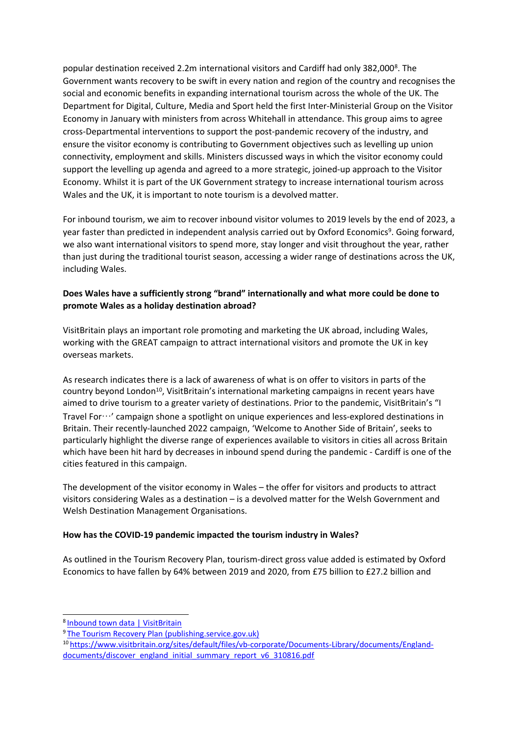popular destination received 2.2m international visitors and Cardiff had only 382,0008. The Government wants recovery to be swift in every nation and region of the country and recognises the social and economic benefits in expanding international tourism across the whole of the UK. The Department for Digital, Culture, Media and Sport held the first Inter-Ministerial Group on the Visitor Economy in January with ministers from across Whitehall in attendance. This group aims to agree cross-Departmental interventions to support the post-pandemic recovery of the industry, and ensure the visitor economy is contributing to Government objectives such as levelling up union connectivity, employment and skills. Ministers discussed ways in which the visitor economy could support the levelling up agenda and agreed to a more strategic, joined-up approach to the Visitor Economy. Whilst it is part of the UK Government strategy to increase international tourism across Wales and the UK, it is important to note tourism is a devolved matter.

For inbound tourism, we aim to recover inbound visitor volumes to 2019 levels by the end of 2023, a year faster than predicted in independent analysis carried out by Oxford Economics<sup>9</sup>. Going forward, we also want international visitors to spend more, stay longer and visit throughout the year, rather than just during the traditional tourist season, accessing a wider range of destinations across the UK, including Wales.

#### **Does Wales have a sufficiently strong "brand" internationally and what more could be done to promote Wales as a holiday destination abroad?**

VisitBritain plays an important role promoting and marketing the UK abroad, including Wales, working with the GREAT campaign to attract international visitors and promote the UK in key overseas markets.

As research indicates there is a lack of awareness of what is on offer to visitors in parts of the country beyond London<sup>10</sup>, VisitBritain's international marketing campaigns in recent years have aimed to drive tourism to a greater variety of destinations. Prior to the pandemic, VisitBritain's "I Travel For…' campaign shone a spotlight on unique experiences and less-explored destinations in Britain. Their recently-launched 2022 campaign, 'Welcome to Another Side of Britain', seeks to particularly highlight the diverse range of experiences available to visitors in cities all across Britain which have been hit hard by decreases in inbound spend during the pandemic - Cardiff is one of the cities featured in this campaign.

The development of the visitor economy in Wales – the offer for visitors and products to attract visitors considering Wales as a destination – is a devolved matter for the Welsh Government and Welsh Destination Management Organisations.

#### **How has the COVID-19 pandemic impacted the tourism industry in Wales?**

As outlined in the Tourism Recovery Plan, tourism-direct gross value added is estimated by Oxford Economics to have fallen by 64% between 2019 and 2020, from £75 billion to £27.2 billion and

<sup>8</sup> [Inbound](https://www.visitbritain.org/town-data) [town](https://www.visitbritain.org/town-data) [data](https://www.visitbritain.org/town-data) [|](https://www.visitbritain.org/town-data) [VisitBritain](https://www.visitbritain.org/town-data)

<sup>&</sup>lt;sup>9</sup> [The](https://assets.publishing.service.gov.uk/government/uploads/system/uploads/attachment_data/file/992974/Tourism_Recovery_Plan__Web_Accessible_.pdf) [Tourism](https://assets.publishing.service.gov.uk/government/uploads/system/uploads/attachment_data/file/992974/Tourism_Recovery_Plan__Web_Accessible_.pdf) [Recovery](https://assets.publishing.service.gov.uk/government/uploads/system/uploads/attachment_data/file/992974/Tourism_Recovery_Plan__Web_Accessible_.pdf) [Plan](https://assets.publishing.service.gov.uk/government/uploads/system/uploads/attachment_data/file/992974/Tourism_Recovery_Plan__Web_Accessible_.pdf) [\(publishing.service.gov.uk\)](https://assets.publishing.service.gov.uk/government/uploads/system/uploads/attachment_data/file/992974/Tourism_Recovery_Plan__Web_Accessible_.pdf)

<sup>10</sup> [https://www.visitbritain.org/sites/default/files/vb-corporate/Documents-Library/documents/England](https://www.visitbritain.org/sites/default/files/vb-corporate/Documents-Library/documents/England-documents/discover_england_initial_summary_report_v6_310816.pdf)[documents/discover\\_england\\_initial\\_summary\\_report\\_v6\\_310816.pdf](https://www.visitbritain.org/sites/default/files/vb-corporate/Documents-Library/documents/England-documents/discover_england_initial_summary_report_v6_310816.pdf)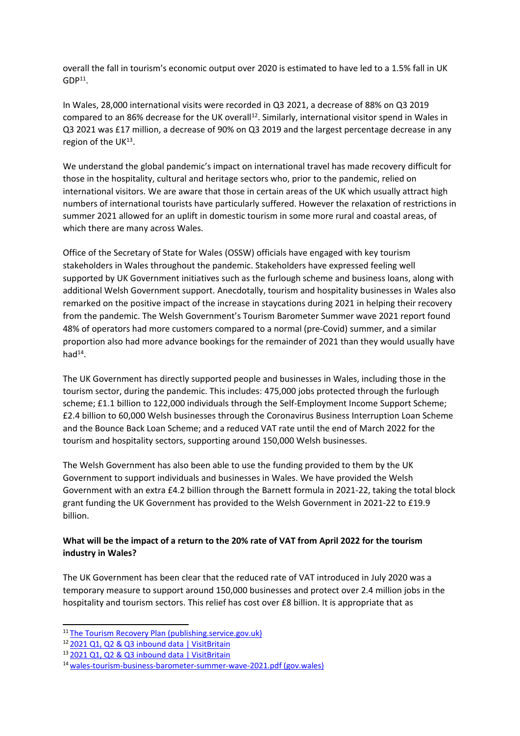overall the fall in tourism's economic output over 2020 is estimated to have led to a 1.5% fall in UK  $GDP<sup>11</sup>$ .

In Wales, 28,000 international visits were recorded in Q3 2021, a decrease of 88% on Q3 2019 compared to an 86% decrease for the UK overall<sup>12</sup>. Similarly, international visitor spend in Wales in Q3 2021 was £17 million, a decrease of 90% on Q3 2019 and the largest percentage decrease in any region of the UK<sup>13</sup>.

We understand the global pandemic's impact on international travel has made recovery difficult for those in the hospitality, cultural and heritage sectors who, prior to the pandemic, relied on international visitors. We are aware that those in certain areas of the UK which usually attract high numbers of international tourists have particularly suffered. However the relaxation of restrictions in summer 2021 allowed for an uplift in domestic tourism in some more rural and coastal areas, of which there are many across Wales.

Office of the Secretary of State for Wales (OSSW) officials have engaged with key tourism stakeholders in Wales throughout the pandemic. Stakeholders have expressed feeling well supported by UK Government initiatives such as the furlough scheme and business loans, along with additional Welsh Government support. Anecdotally, tourism and hospitality businesses in Wales also remarked on the positive impact of the increase in staycations during 2021 in helping their recovery from the pandemic. The Welsh Government's Tourism Barometer Summer wave 2021 report found 48% of operators had more customers compared to a normal (pre-Covid) summer, and a similar proportion also had more advance bookings for the remainder of 2021 than they would usually have  $had<sup>14</sup>$ .

The UK Government has directly supported people and businesses in Wales, including those in the tourism sector, during the pandemic. This includes: 475,000 jobs protected through the furlough scheme; £1.1 billion to 122,000 individuals through the Self-Employment Income Support Scheme; £2.4 billion to 60,000 Welsh businesses through the Coronavirus Business Interruption Loan Scheme and the Bounce Back Loan Scheme; and a reduced VAT rate until the end of March 2022 for the tourism and hospitality sectors, supporting around 150,000 Welsh businesses.

The Welsh Government has also been able to use the funding provided to them by the UK Government to support individuals and businesses in Wales. We have provided the Welsh Government with an extra £4.2 billion through the Barnett formula in 2021-22, taking the total block grant funding the UK Government has provided to the Welsh Government in 2021-22 to £19.9 billion.

## What will be the impact of a return to the 20% rate of VAT from April 2022 for the tourism **industry in Wales?**

The UK Government has been clear that the reduced rate of VAT introduced in July 2020 was a temporary measure to support around 150,000 businesses and protect over 2.4 million jobs in the hospitality and tourism sectors. This relief has cost over £8 billion. It is appropriate that as

<sup>11</sup> [The](https://assets.publishing.service.gov.uk/government/uploads/system/uploads/attachment_data/file/992974/Tourism_Recovery_Plan__Web_Accessible_.pdf) [Tourism](https://assets.publishing.service.gov.uk/government/uploads/system/uploads/attachment_data/file/992974/Tourism_Recovery_Plan__Web_Accessible_.pdf) [Recovery](https://assets.publishing.service.gov.uk/government/uploads/system/uploads/attachment_data/file/992974/Tourism_Recovery_Plan__Web_Accessible_.pdf) [Plan](https://assets.publishing.service.gov.uk/government/uploads/system/uploads/attachment_data/file/992974/Tourism_Recovery_Plan__Web_Accessible_.pdf) [\(publishing.service.gov.uk\)](https://assets.publishing.service.gov.uk/government/uploads/system/uploads/attachment_data/file/992974/Tourism_Recovery_Plan__Web_Accessible_.pdf)

<sup>12</sup> [2021](https://www.visitbritain.org/2021-q1-inbound-data) [Q1,](https://www.visitbritain.org/2021-q1-inbound-data) [Q2](https://www.visitbritain.org/2021-q1-inbound-data) [&](https://www.visitbritain.org/2021-q1-inbound-data) [Q3](https://www.visitbritain.org/2021-q1-inbound-data) [inbound](https://www.visitbritain.org/2021-q1-inbound-data) [data](https://www.visitbritain.org/2021-q1-inbound-data) [|](https://www.visitbritain.org/2021-q1-inbound-data) [VisitBritain](https://www.visitbritain.org/2021-q1-inbound-data)

<sup>13</sup> [2021](https://www.visitbritain.org/2021-q1-inbound-data) [Q1,](https://www.visitbritain.org/2021-q1-inbound-data) [Q2](https://www.visitbritain.org/2021-q1-inbound-data) [&](https://www.visitbritain.org/2021-q1-inbound-data) [Q3](https://www.visitbritain.org/2021-q1-inbound-data) [inbound](https://www.visitbritain.org/2021-q1-inbound-data) [data](https://www.visitbritain.org/2021-q1-inbound-data) [|](https://www.visitbritain.org/2021-q1-inbound-data) [VisitBritain](https://www.visitbritain.org/2021-q1-inbound-data)

<sup>14</sup> [wales-tourism-business-barometer-summer-wave-2021.pdf](https://gov.wales/sites/default/files/statistics-and-research/2021-10/wales-tourism-business-barometer-summer-wave-2021.pdf) [\(gov.wales\)](https://gov.wales/sites/default/files/statistics-and-research/2021-10/wales-tourism-business-barometer-summer-wave-2021.pdf)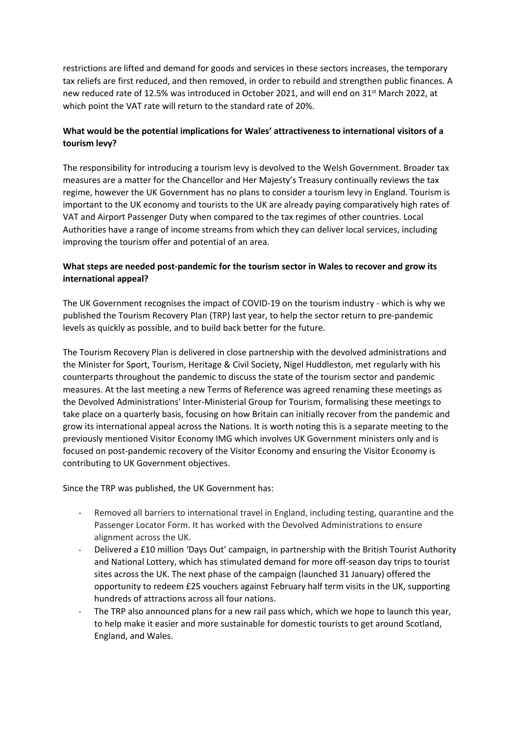restrictions are lifted and demand for goods and services in these sectors increases, the temporary tax reliefs are first reduced, and then removed, in order to rebuild and strengthen public finances. A new reduced rate of 12.5% was introduced in October 2021, and will end on 31st March 2022, at which point the VAT rate will return to the standard rate of 20%.

## **What would be the potential implications for Wales' attractiveness to international visitors of a tourism levy?**

The responsibility for introducing a tourism levy is devolved to the Welsh Government. Broader tax measures are a matter for the Chancellor and Her Majesty's Treasury continually reviews the tax regime, however the UK Government has no plans to consider a tourism levy in England. Tourism is important to the UK economy and tourists to the UK are already paying comparatively high rates of VAT and Airport Passenger Duty when compared to the tax regimes of other countries. Local Authorities have a range of income streams from which they can deliver local services, including improving the tourism offer and potential of an area.

## **What steps are needed post-pandemic for the tourism sector in Wales to recover and grow its international appeal?**

The UK Government recognises the impact of COVID-19 on the tourism industry - which is why we published the Tourism Recovery Plan (TRP) last year, to help the sector return to pre-pandemic levels as quickly as possible, and to build back better for the future.

The Tourism Recovery Plan is delivered in close partnership with the devolved administrations and the Minister for Sport, Tourism, Heritage & Civil Society, Nigel Huddleston, met regularly with his counterparts throughout the pandemic to discuss the state of the tourism sector and pandemic measures. At the last meeting a new Terms of Reference was agreed renaming these meetings as the Devolved Administrations' Inter-Ministerial Group for Tourism, formalising these meetings to take place on a quarterly basis, focusing on how Britain can initially recover from the pandemic and grow its international appeal across the Nations. It is worth noting this is a separate meeting to the previously mentioned Visitor Economy IMG which involves UK Government ministers only and is focused on post-pandemic recovery of the Visitor Economy and ensuring the Visitor Economy is contributing to UK Government objectives.

Since the TRP was published, the UK Government has:

- Removed all barriers to international travel in England, including testing, quarantine and the Passenger Locator Form. It has worked with the Devolved Administrations to ensure alignment across the UK.
- Delivered a £10 million 'Days Out' campaign, in partnership with the British Tourist Authority and National Lottery, which has stimulated demand for more off-season day trips to tourist sites across the UK. The next phase of the campaign (launched 31 January) offered the opportunity to redeem £25 vouchers against February half term visits in the UK, supporting hundreds of attractions across all four nations.
- The TRP also announced plans for a new rail pass which, which we hope to launch this year, to help make it easier and more sustainable for domestic tourists to get around Scotland, England, and Wales.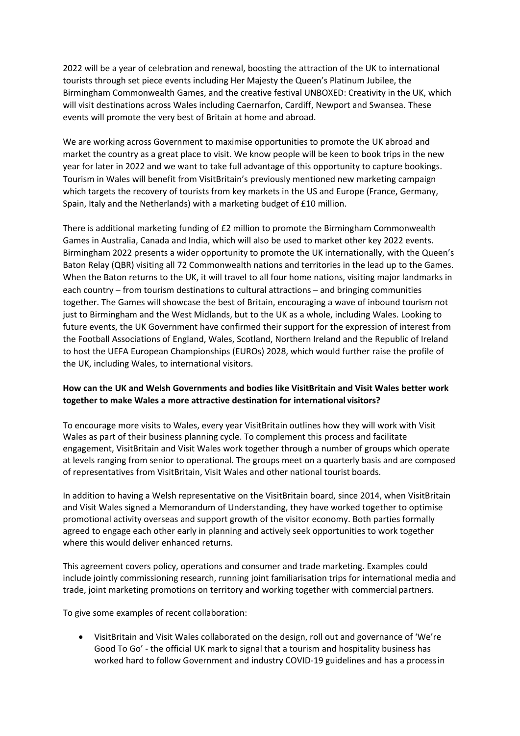2022 will be a year of celebration and renewal, boosting the attraction of the UK to international tourists through set piece events including Her Majesty the Queen's Platinum Jubilee, the Birmingham Commonwealth Games, and the creative festival UNBOXED: Creativity in the UK, which will visit destinations across Wales including Caernarfon, Cardiff, Newport and Swansea. These events will promote the very best of Britain at home and abroad.

We are working across Government to maximise opportunities to promote the UK abroad and market the country as a great place to visit. We know people will be keen to book trips in the new year for later in 2022 and we want to take full advantage of this opportunity to capture bookings. Tourism in Wales will benefit from VisitBritain's previously mentioned new marketing campaign which targets the recovery of tourists from key markets in the US and Europe (France, Germany, Spain, Italy and the Netherlands) with a marketing budget of £10 million.

There is additional marketing funding of £2 million to promote the Birmingham Commonwealth Games in Australia, Canada and India, which will also be used to market other key 2022 events. Birmingham 2022 presents a wider opportunity to promote the UK internationally, with the Queen's Baton Relay (QBR) visiting all 72 Commonwealth nations and territories in the lead up to the Games. When the Baton returns to the UK, it will travel to all four home nations, visiting major landmarks in each country – from tourism destinations to cultural attractions – and bringing communities together. The Games will showcase the best of Britain, encouraging a wave of inbound tourism not just to Birmingham and the West Midlands, but to the UK as a whole, including Wales. Looking to future events, the UK Government have confirmed their support for the expression of interest from the Football Associations of England, Wales, Scotland, Northern Ireland and the Republic of Ireland to host the UEFA European Championships (EUROs) 2028, which would further raise the profile of the UK, including Wales, to international visitors.

## **How can the UK and Welsh Governments and bodies like VisitBritain and Visit Wales better work together to make Wales a more attractive destination for international visitors?**

To encourage more visits to Wales, every year VisitBritain outlines how they will work with Visit Wales as part of their business planning cycle. To complement this process and facilitate engagement, VisitBritain and Visit Wales work together through a number of groups which operate at levels ranging from senior to operational. The groups meet on a quarterly basis and are composed of representatives from VisitBritain, Visit Wales and other national tourist boards.

In addition to having a Welsh representative on the VisitBritain board, since 2014, when VisitBritain and Visit Wales signed a Memorandum of Understanding, they have worked together to optimise promotional activity overseas and support growth of the visitor economy. Both parties formally agreed to engage each other early in planning and actively seek opportunities to work together where this would deliver enhanced returns.

This agreement covers policy, operations and consumer and trade marketing. Examples could include jointly commissioning research, running joint familiarisation trips for international media and trade, joint marketing promotions on territory and working together with commercial partners.

To give some examples of recent collaboration:

 VisitBritain and Visit Wales collaborated on the design, roll out and governance of 'We're Good To Go' - the official UK mark to signal that a tourism and hospitality business has worked hard to follow Government and industry COVID-19 guidelines and has a processin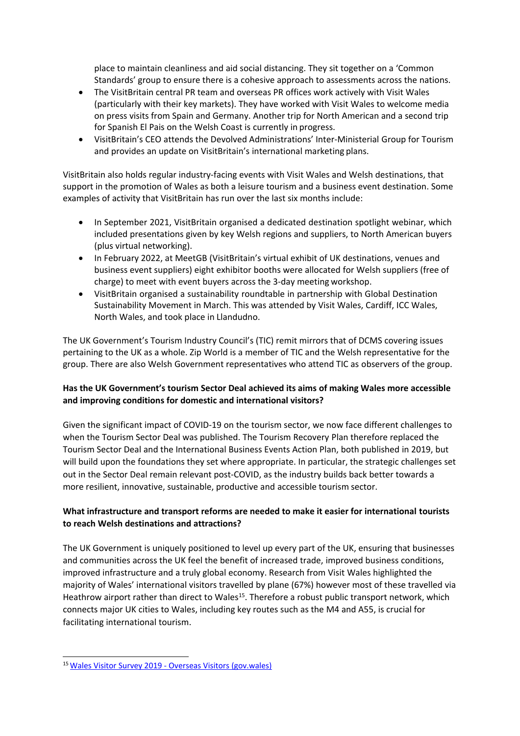place to maintain cleanliness and aid social distancing. They sit together on a 'Common Standards' group to ensure there is a cohesive approach to assessments across the nations.

- The VisitBritain central PR team and overseas PR offices work actively with Visit Wales (particularly with their key markets). They have worked with Visit Wales to welcome media on press visits from Spain and Germany. Another trip for North American and a second trip for Spanish El Pais on the Welsh Coast is currently in progress.
- VisitBritain's CEO attends the Devolved Administrations' Inter-Ministerial Group for Tourism and provides an update on VisitBritain's international marketing plans.

VisitBritain also holds regular industry-facing events with Visit Wales and Welsh destinations, that support in the promotion of Wales as both a leisure tourism and a business event destination. Some examples of activity that VisitBritain has run over the last six months include:

- In September 2021, VisitBritain organised a dedicated destination spotlight webinar, which included presentations given by key Welsh regions and suppliers, to North American buyers (plus virtual networking).
- In February 2022, at MeetGB (VisitBritain's virtual exhibit of UK destinations, venues and business event suppliers) eight exhibitor booths were allocated for Welsh suppliers (free of charge) to meet with event buyers across the 3-day meeting workshop.
- VisitBritain organised a sustainability roundtable in partnership with Global Destination Sustainability Movement in March. This was attended by Visit Wales, Cardiff, ICC Wales, North Wales, and took place in Llandudno.

The UK Government's Tourism Industry Council's (TIC) remit mirrors that of DCMS covering issues pertaining to the UK as a whole. Zip World is a member of TIC and the Welsh representative for the group. There are also Welsh Government representatives who attend TIC as observers of the group.

## **Has the UK Government's tourism Sector Deal achieved its aims of making Wales more accessible and improving conditions for domestic and international visitors?**

Given the significant impact of COVID-19 on the tourism sector, we now face different challenges to when the Tourism Sector Deal was published. The Tourism Recovery Plan therefore replaced the Tourism Sector Deal and the International Business Events Action Plan, both published in 2019, but will build upon the foundations they set where appropriate. In particular, the strategic challenges set out in the Sector Deal remain relevant post-COVID, as the industry builds back better towards a more resilient, innovative, sustainable, productive and accessible tourism sector.

# **What infrastructure and transport reforms are needed to make it easier for international tourists to reach Welsh destinations and attractions?**

The UK Government is uniquely positioned to level up every part of the UK, ensuring that businesses and communities across the UK feel the benefit of increased trade, improved business conditions, improved infrastructure and a truly global economy. Research from Visit Wales highlighted the majority of Wales' international visitors travelled by plane (67%) however most of these travelled via Heathrow airport rather than direct to Wales<sup>15</sup>. Therefore a robust public transport network, which connects major UK cities to Wales, including key routes such as the M4 and A55, is crucial for facilitating international tourism.

<sup>15</sup>[Wales](https://gov.wales/sites/default/files/statistics-and-research/2021-03/wales-visitor-survey-2019-overseas-visitors.pdf) [Visitor](https://gov.wales/sites/default/files/statistics-and-research/2021-03/wales-visitor-survey-2019-overseas-visitors.pdf) [Survey](https://gov.wales/sites/default/files/statistics-and-research/2021-03/wales-visitor-survey-2019-overseas-visitors.pdf) [2019](https://gov.wales/sites/default/files/statistics-and-research/2021-03/wales-visitor-survey-2019-overseas-visitors.pdf) [-](https://gov.wales/sites/default/files/statistics-and-research/2021-03/wales-visitor-survey-2019-overseas-visitors.pdf) [Overseas](https://gov.wales/sites/default/files/statistics-and-research/2021-03/wales-visitor-survey-2019-overseas-visitors.pdf) [Visitors](https://gov.wales/sites/default/files/statistics-and-research/2021-03/wales-visitor-survey-2019-overseas-visitors.pdf) [\(gov.wales\)](https://gov.wales/sites/default/files/statistics-and-research/2021-03/wales-visitor-survey-2019-overseas-visitors.pdf)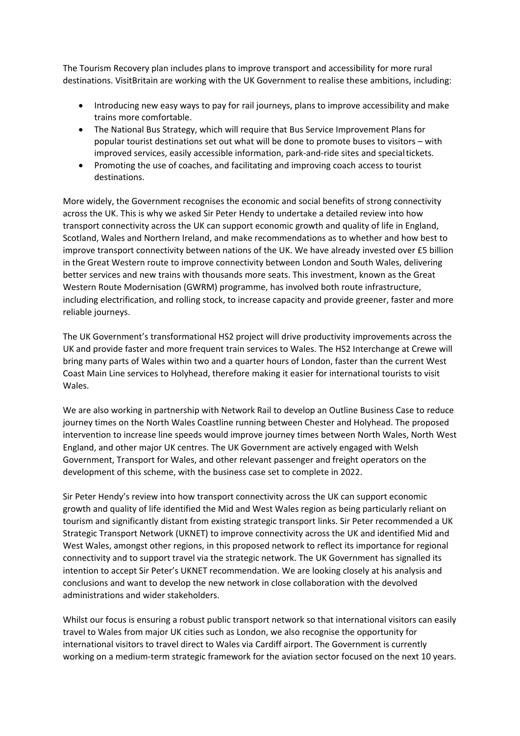The Tourism Recovery plan includes plans to improve transport and accessibility for more rural destinations. VisitBritain are working with the UK Government to realise these ambitions, including:

- Introducing new easy ways to pay for rail journeys, plans to improve accessibility and make trains more comfortable.
- The National Bus Strategy, which will require that Bus Service Improvement Plans for popular tourist destinations set out what will be done to promote buses to visitors – with improved services, easily accessible information, park-and-ride sites and specialtickets.
- Promoting the use of coaches, and facilitating and improving coach access to tourist destinations.

More widely, the Government recognises the economic and social benefits of strong connectivity across the UK. This is why we asked Sir Peter Hendy to undertake a detailed review into how transport connectivity across the UK can support economic growth and quality of life in England, Scotland, Wales and Northern Ireland, and make recommendations as to whether and how best to improve transport connectivity between nations of the UK. We have already invested over £5 billion in the Great Western route to improve connectivity between London and South Wales, delivering better services and new trains with thousands more seats. This investment, known as the Great Western Route Modernisation (GWRM) programme, has involved both route infrastructure, including electrification, and rolling stock, to increase capacity and provide greener, faster and more reliable journeys.

The UK Government's transformational HS2 project will drive productivity improvements across the UK and provide faster and more frequent train services to Wales. The HS2 Interchange at Crewe will bring many parts of Wales within two and a quarter hours of London, faster than the current West Coast Main Line services to Holyhead, therefore making it easier for international tourists to visit Wales.

We are also working in partnership with Network Rail to develop an Outline Business Case to reduce journey times on the North Wales Coastline running between Chester and Holyhead. The proposed intervention to increase line speeds would improve journey times between North Wales, North West England, and other major UK centres. The UK Government are actively engaged with Welsh Government, Transport for Wales, and other relevant passenger and freight operators on the development of this scheme, with the business case set to complete in 2022.

Sir Peter Hendy's review into how transport connectivity across the UK can support economic growth and quality of life identified the Mid and West Wales region as being particularly reliant on tourism and significantly distant from existing strategic transport links. Sir Peter recommended a UK Strategic Transport Network (UKNET) to improve connectivity across the UK and identified Mid and West Wales, amongst other regions, in this proposed network to reflect its importance for regional connectivity and to support travel via the strategic network. The UK Government has signalled its intention to accept Sir Peter's UKNET recommendation. We are looking closely at his analysis and conclusions and want to develop the new network in close collaboration with the devolved administrations and wider stakeholders.

Whilst our focus is ensuring a robust public transport network so that international visitors can easily travel to Wales from major UK cities such as London, we also recognise the opportunity for international visitors to travel direct to Wales via Cardiff airport. The Government is currently working on a medium-term strategic framework for the aviation sector focused on the next 10 years.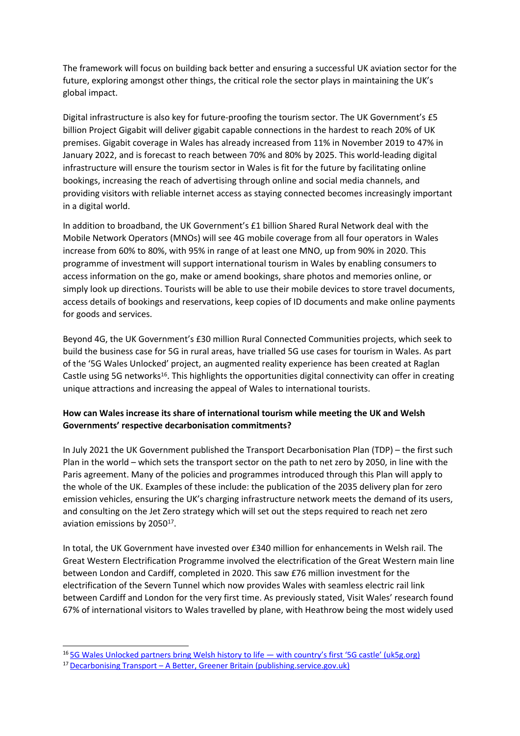The framework will focus on building back better and ensuring a successful UK aviation sector for the future, exploring amongst other things, the critical role the sector plays in maintaining the UK's global impact.

Digital infrastructure is also key for future-proofing the tourism sector. The UK Government's £5 billion Project Gigabit will deliver gigabit capable connections in the hardest to reach 20% of UK premises. Gigabit coverage in Wales has already increased from 11% in November 2019 to 47% in January 2022, and is forecast to reach between 70% and 80% by 2025. This world-leading digital infrastructure will ensure the tourism sector in Wales is fit for the future by facilitating online bookings, increasing the reach of advertising through online and social media channels, and providing visitors with reliable internet access as staying connected becomes increasingly important in a digital world.

In addition to broadband, the UK Government's £1 billion Shared Rural Network deal with the Mobile Network Operators (MNOs) will see 4G mobile coverage from all four operators in Wales increase from 60% to 80%, with 95% in range of at least one MNO, up from 90% in 2020. This programme of investment will support international tourism in Wales by enabling consumers to access information on the go, make or amend bookings, share photos and memories online, or simply look up directions. Tourists will be able to use their mobile devices to store travel documents, access details of bookings and reservations, keep copies of ID documents and make online payments for goods and services.

Beyond 4G, the UK Government's £30 million Rural Connected Communities projects, which seek to build the business case for 5G in rural areas, have trialled 5G use cases for tourism in Wales. As part of the '5G Wales Unlocked' project, an augmented reality experience has been created at Raglan Castle using 5G networks<sup>16</sup>. This highlights the opportunities digital connectivity can offer in creating unique attractions and increasing the appeal of Wales to international tourists.

## **How can Wales increase its share of international tourism while meeting the UK and Welsh Governments' respective decarbonisation commitments?**

In July 2021 the UK Government published the Transport Decarbonisation Plan (TDP) – the first such Plan in the world – which sets the transport sector on the path to net zero by 2050, in line with the Paris agreement. Many of the policies and programmes introduced through this Plan will apply to the whole of the UK. Examples of these include: the publication of the 2035 delivery plan for zero emission vehicles, ensuring the UK's charging infrastructure network meets the demand of its users, and consulting on the Jet Zero strategy which will set out the steps required to reach net zero aviation emissions by  $2050^{17}$ .

In total, the UK Government have invested over £340 million for enhancements in Welsh rail. The Great Western Electrification Programme involved the electrification of the Great Western main line between London and Cardiff, completed in 2020. This saw £76 million investment for the electrification of the Severn Tunnel which now provides Wales with seamless electric rail link between Cardiff and London for the very first time. As previously stated, Visit Wales' research found 67% of international visitors to Wales travelled by plane, with Heathrow being the most widely used

<sup>16</sup> [5G](https://uk5g.org/5g-updates/read-articles/5g-wales-unlocked-partners-bring-welsh-history-to-life-with-countrys-first-5g-castle/) [Wales](https://uk5g.org/5g-updates/read-articles/5g-wales-unlocked-partners-bring-welsh-history-to-life-with-countrys-first-5g-castle/) [Unlocked](https://uk5g.org/5g-updates/read-articles/5g-wales-unlocked-partners-bring-welsh-history-to-life-with-countrys-first-5g-castle/) [partners](https://uk5g.org/5g-updates/read-articles/5g-wales-unlocked-partners-bring-welsh-history-to-life-with-countrys-first-5g-castle/) [bring](https://uk5g.org/5g-updates/read-articles/5g-wales-unlocked-partners-bring-welsh-history-to-life-with-countrys-first-5g-castle/) [Welsh](https://uk5g.org/5g-updates/read-articles/5g-wales-unlocked-partners-bring-welsh-history-to-life-with-countrys-first-5g-castle/) [history](https://uk5g.org/5g-updates/read-articles/5g-wales-unlocked-partners-bring-welsh-history-to-life-with-countrys-first-5g-castle/) [to](https://uk5g.org/5g-updates/read-articles/5g-wales-unlocked-partners-bring-welsh-history-to-life-with-countrys-first-5g-castle/) [life](https://uk5g.org/5g-updates/read-articles/5g-wales-unlocked-partners-bring-welsh-history-to-life-with-countrys-first-5g-castle/) [—](https://uk5g.org/5g-updates/read-articles/5g-wales-unlocked-partners-bring-welsh-history-to-life-with-countrys-first-5g-castle/) [with](https://uk5g.org/5g-updates/read-articles/5g-wales-unlocked-partners-bring-welsh-history-to-life-with-countrys-first-5g-castle/) [country's](https://uk5g.org/5g-updates/read-articles/5g-wales-unlocked-partners-bring-welsh-history-to-life-with-countrys-first-5g-castle/) [first](https://uk5g.org/5g-updates/read-articles/5g-wales-unlocked-partners-bring-welsh-history-to-life-with-countrys-first-5g-castle/) ['5G](https://uk5g.org/5g-updates/read-articles/5g-wales-unlocked-partners-bring-welsh-history-to-life-with-countrys-first-5g-castle/) [castle'](https://uk5g.org/5g-updates/read-articles/5g-wales-unlocked-partners-bring-welsh-history-to-life-with-countrys-first-5g-castle/) [\(uk5g.org\)](https://uk5g.org/5g-updates/read-articles/5g-wales-unlocked-partners-bring-welsh-history-to-life-with-countrys-first-5g-castle/)

<sup>17</sup>[Decarbonising](https://assets.publishing.service.gov.uk/government/uploads/system/uploads/attachment_data/file/1009448/decarbonising-transport-a-better-greener-britain.pdf) [Transport](https://assets.publishing.service.gov.uk/government/uploads/system/uploads/attachment_data/file/1009448/decarbonising-transport-a-better-greener-britain.pdf) [–](https://assets.publishing.service.gov.uk/government/uploads/system/uploads/attachment_data/file/1009448/decarbonising-transport-a-better-greener-britain.pdf) [A](https://assets.publishing.service.gov.uk/government/uploads/system/uploads/attachment_data/file/1009448/decarbonising-transport-a-better-greener-britain.pdf) [Better,](https://assets.publishing.service.gov.uk/government/uploads/system/uploads/attachment_data/file/1009448/decarbonising-transport-a-better-greener-britain.pdf) [Greener](https://assets.publishing.service.gov.uk/government/uploads/system/uploads/attachment_data/file/1009448/decarbonising-transport-a-better-greener-britain.pdf) [Britain](https://assets.publishing.service.gov.uk/government/uploads/system/uploads/attachment_data/file/1009448/decarbonising-transport-a-better-greener-britain.pdf) [\(publishing.service.gov.uk\)](https://assets.publishing.service.gov.uk/government/uploads/system/uploads/attachment_data/file/1009448/decarbonising-transport-a-better-greener-britain.pdf)